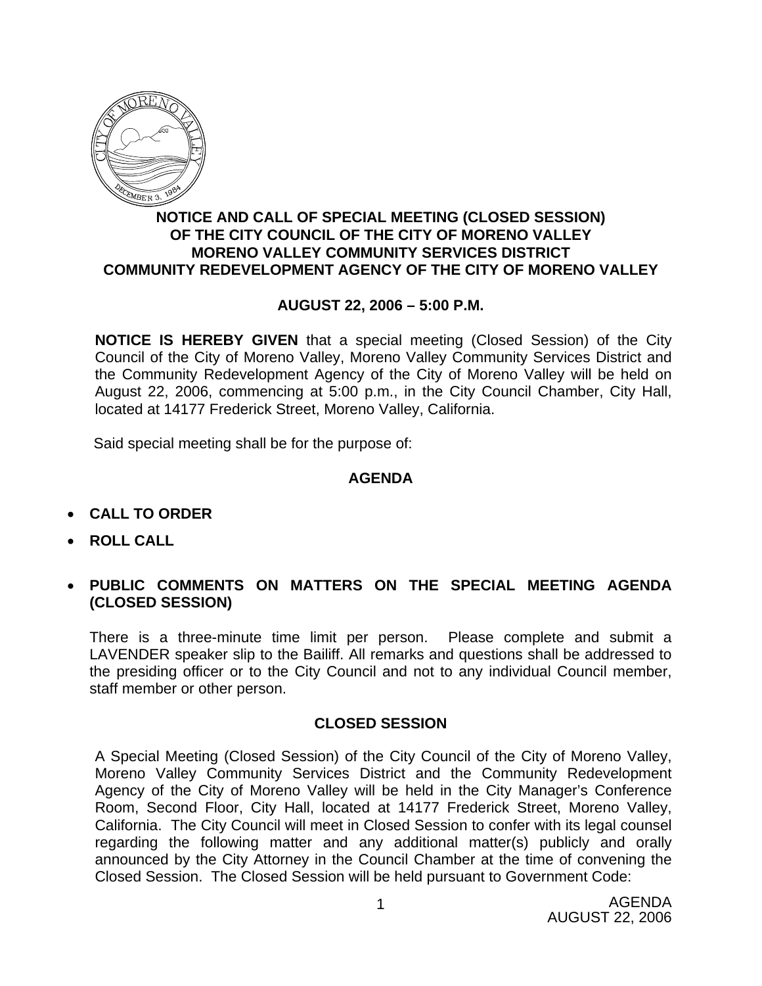

## **NOTICE AND CALL OF SPECIAL MEETING (CLOSED SESSION) OF THE CITY COUNCIL OF THE CITY OF MORENO VALLEY MORENO VALLEY COMMUNITY SERVICES DISTRICT COMMUNITY REDEVELOPMENT AGENCY OF THE CITY OF MORENO VALLEY**

## **AUGUST 22, 2006 – 5:00 P.M.**

**NOTICE IS HEREBY GIVEN** that a special meeting (Closed Session) of the City Council of the City of Moreno Valley, Moreno Valley Community Services District and the Community Redevelopment Agency of the City of Moreno Valley will be held on August 22, 2006, commencing at 5:00 p.m., in the City Council Chamber, City Hall, located at 14177 Frederick Street, Moreno Valley, California.

Said special meeting shall be for the purpose of:

## **AGENDA**

- **CALL TO ORDER**
- **ROLL CALL**
- **PUBLIC COMMENTS ON MATTERS ON THE SPECIAL MEETING AGENDA (CLOSED SESSION)**

There is a three-minute time limit per person. Please complete and submit a LAVENDER speaker slip to the Bailiff. All remarks and questions shall be addressed to the presiding officer or to the City Council and not to any individual Council member, staff member or other person.

## **CLOSED SESSION**

A Special Meeting (Closed Session) of the City Council of the City of Moreno Valley, Moreno Valley Community Services District and the Community Redevelopment Agency of the City of Moreno Valley will be held in the City Manager's Conference Room, Second Floor, City Hall, located at 14177 Frederick Street, Moreno Valley, California. The City Council will meet in Closed Session to confer with its legal counsel regarding the following matter and any additional matter(s) publicly and orally announced by the City Attorney in the Council Chamber at the time of convening the Closed Session. The Closed Session will be held pursuant to Government Code: